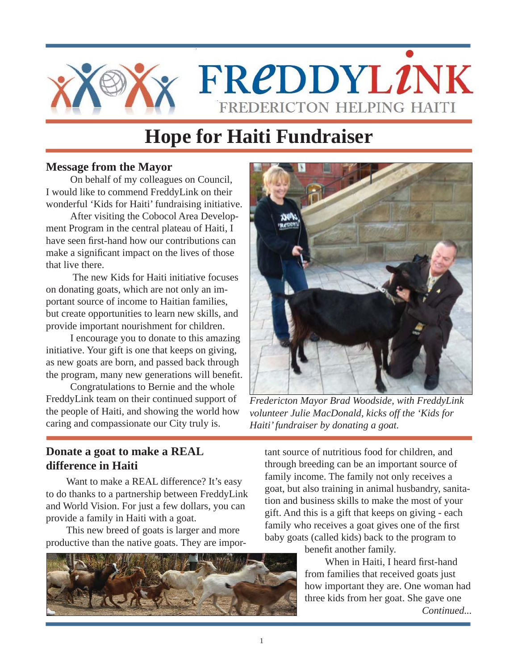

# **Hope for Haiti Fundraiser**

### **Message from the Mayor**

On behalf of my colleagues on Council, I would like to commend FreddyLink on their wonderful 'Kids for Haiti' fundraising initiative.

After visiting the Cobocol Area Development Program in the central plateau of Haiti, I have seen first-hand how our contributions can make a significant impact on the lives of those that live there.

 The new Kids for Haiti initiative focuses on donating goats, which are not only an important source of income to Haitian families, but create opportunities to learn new skills, and provide important nourishment for children.

I encourage you to donate to this amazing initiative. Your gift is one that keeps on giving, as new goats are born, and passed back through the program, many new generations will benefit.

Congratulations to Bernie and the whole FreddyLink team on their continued support of the people of Haiti, and showing the world how caring and compassionate our City truly is.



*Fredericton Mayor Brad Woodside, with FreddyLink volunteer Julie MacDonald, kicks off the 'Kids for Haiti' fundraiser by donating a goat.*

# **Donate a goat to make a REAL difference in Haiti**

Want to make a REAL difference? It's easy to do thanks to a partnership between FreddyLink and World Vision. For just a few dollars, you can provide a family in Haiti with a goat.

This new breed of goats is larger and more productive than the native goats. They are impor-



tant source of nutritious food for children, and through breeding can be an important source of family income. The family not only receives a goat, but also training in animal husbandry, sanitation and business skills to make the most of your gift. And this is a gift that keeps on giving - each family who receives a goat gives one of the first baby goats (called kids) back to the program to

benefit another family.

When in Haiti, I heard first-hand from families that received goats just how important they are. One woman had three kids from her goat. She gave one *Continued...*